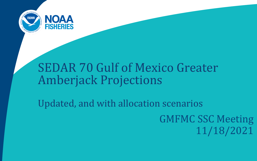

# SEDAR 70 Gulf of Mexico Greater Amberjack Projections

Updated, and with allocation scenarios GMFMC SSC Meeting 11/18/2021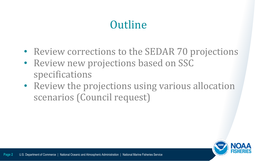# **Outline**

- Review corrections to the SEDAR 70 projections
- Review new projections based on SSC specifications
- Review the projections using various allocation scenarios (Council request)

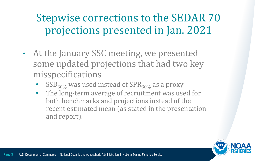#### Stepwise corrections to the SEDAR 70 projections presented in Jan. 2021

- At the January SSC meeting, we presented some updated projections that had two key misspecifications
	- $\text{SSB}_{30\%}$  was used instead of  $\text{SPR}_{30\%}$  as a proxy
	- The long-term average of recruitment was used for both benchmarks and projections instead of the recent estimated mean (as stated in the presentation and report).

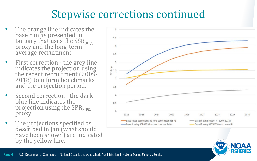#### Stepwise corrections continued

- The orange line indicates the base run as presented in<br>January that uses the SSB<sub>30%</sub> proxy and the long-term average recruitment.
- First correction the grey line<br>indicates the projection using<br>the recent recruitment (2009-2018) to inform benchmarks and the projection period.
- Second correction the dark blue line indicates the projection using the  $SPR_{30\%}$ proxy.
- The projections specified as described in Jan (what should have been shown) are indicated by the yellow line.



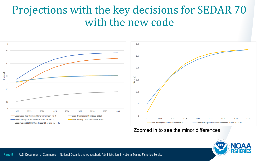#### Projections with the key decisions for SEDAR 70 with the new code



#### Zoomed in to see the minor differences

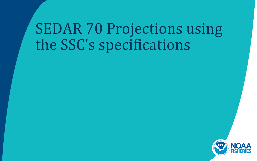# SEDAR 70 Projections using the SSC's specifications

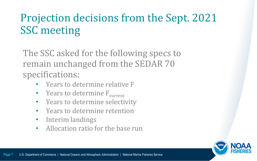## Projection decisions from the Sept. 2021 SSC meeting

The SSC asked for the following specs to remain unchanged from the SEDAR 70 specifications:

- Years to determine relative F
- Years to determine  $F_{current}$
- Years to determine selectivity
- Years to determine retention
- Interim landings
- Allocation ratio for the base run

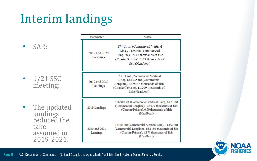# Interim landings

• SAR:

 $\cdot$  1/21 SSC meeting:

• The updated landings reduced the take assumed in 2019-2021.

| Parameter                 | Value                                                                                                                                                                |
|---------------------------|----------------------------------------------------------------------------------------------------------------------------------------------------------------------|
| 2019 and 2020<br>Landings | 284.01 mt (Commercial Vertical<br>Line), 11.90 mt (Commercial<br>Longline), 65.43 thousands of fish<br>(Charter/Private), 1.38 thousands of<br>fish (Headboat)       |
| 2019 and 2020<br>Landings | 158.11 mt (Commercial Vertical<br>Line), 12.4635 mt (Commercial<br>Longline), 44.9437 thousands of fish<br>(Charter/Private), 1.3209 thousands of<br>fish (Headboat) |
| 2019 Landings             | 156.907 mt (Commercial Vertical Line), 14.51 mt<br>(Commercial Longline), 22.979 thousands of fish<br>(Charter/Private), 0.99 thousands of fish<br>(Headboat)        |
| 2020 and 2021<br>Landings | 184.01 mt (Commercial Vertical Line), 11.891 mt<br>(Commercial Longline), 66.1150 thousands of fish<br>(Charter/Private), 1.377 thousands of fish<br>(Headboat)      |

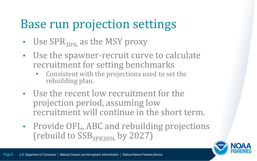# Base run projection settings

- Use  $SPR_{30\%}$  as the MSY proxy
- Use the spawner-recruit curve to calculate recruitment for setting benchmarks
	- Consistent with the projections used to set the rebuilding plan.
- Use the recent low recruitment for the projection period, assuming low recruitment will continue in the short term.
- Provide OFL, ABC and rebuilding projections (rebuild to  $SSB_{SPR30\%}$  by 2027)

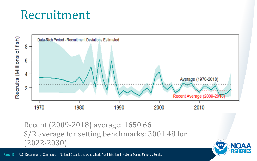# Recruitment



Recent (2009-2018) average: 1650.66 S/R average for setting benchmarks: 3001.48 for (2022-2030)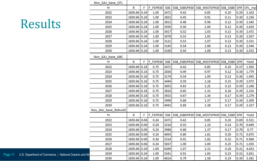|                    | Nov GAJ base OFL     |              |   |          |            |              |                                                |              |      |       |
|--------------------|----------------------|--------------|---|----------|------------|--------------|------------------------------------------------|--------------|------|-------|
|                    | Yr                   | R            | F | F FSPR30 | <b>SSB</b> |              | SSB_SSBSPR30 SSB_MSSTSPR30 SSB_SSB0 SPR OFL_mp |              |      |       |
|                    | 2022                 | 1650.66 0.24 |   | 1.00     | 2471       | 0.42         | 0.85                                           | 0.10         | 0.29 | 2.102 |
|                    | 2023                 | 1650.66 0.24 |   | 1.00     | 2652       | 0.45         | 0.91                                           | 0.11         | 0.30 | 2.236 |
|                    | 2024                 | 1650.66 0.24 |   | 1.00     | 2813       | 0.48         | 0.96                                           | 0.12         | 0.30 | 2.343 |
|                    | 2025                 | 1650.66 0.24 |   | 1.00     | 2930       | 0.50         | 1.00                                           | 0.12         | 0.30 | 2.419 |
|                    | 2026                 | 1650.66 0.24 |   | 1.00     | 3017       | 0.52         | 1.03                                           | 0.13         | 0.30 | 2.472 |
|                    | 2027                 | 1650.66 0.24 |   | 1.00     | 3078       | 0.53         | 1.05                                           | 0.13         | 0.30 | 2.507 |
|                    | 2028                 | 1650.66 0.24 |   | 1.00     | 3121       | 0.53         | 1.07                                           | 0.13         | 0.30 | 2.531 |
|                    | 2029                 | 1650.66 0.24 |   | 1.00     | 3145       | 0.54         | 1.08                                           | 0.13         | 0.30 | 2.544 |
|                    | 2030                 | 1650.66 0.24 |   | 1.00     | 3160       | 0.54         | 1.08                                           | 0.13         | 0.30 | 2.552 |
|                    | Nov GAJ base ABC     |              |   |          |            |              |                                                |              |      |       |
|                    | Yr                   | R            | F | F FSPR30 | <b>SSB</b> |              | SSB_SSBSPR30 SSB_MSSTSPR30 SSB_SSB0 SPR        |              |      | Yield |
|                    | 2022                 | 1650.66 0.18 |   | 0.75     | 2471       | 0.42         | 0.85                                           | 0.10         | 0.37 | 1.583 |
|                    | 2023                 | 1650.66 0.18 |   | 0.75     | 2836       | 0.49         | 0.97                                           | 0.12         | 0.38 | 1.779 |
|                    | 2024                 | 1650.66 0.18 |   | 0.75     | 3174       | 0.54         | 1.09                                           | 0.13         | 0.38 | 1.945 |
|                    | 2025                 | 1650.66 0.18 |   | 0.75     | 3444       | 0.59         | 1.18                                           | 0.15         | 0.39 | 2.072 |
|                    | 2026                 | 1650.66 0.18 |   | 0.75     | 3655       | 0.63         | 1.25                                           | 0.15         | 0.39 | 2.166 |
|                    | 2027                 | 1650.66 0.18 |   | 0.75     | 3810       | 0.65         | 1.31                                           | 0.16         | 0.39 | 2.233 |
|                    | 2028                 | 1650.66 0.18 |   | 0.75     | 3923       | 0.67         | 1.34                                           | 0.17         | 0.39 | 2.279 |
|                    | 2029                 | 1650.66 0.18 |   | 0.75     | 3996       | 0.68         | 1.37                                           | 0.17         | 0.39 | 2.309 |
|                    | 2030                 | 1650.66 0.18 |   | 0.75     | 4042       | 0.69         | 1.38                                           | 0.17         | 0.39 | 2.327 |
|                    | Nov GAJ base Rebuild |              |   |          |            |              |                                                |              |      |       |
|                    | Yr                   | R            | F | F FSPR30 | <b>SSB</b> | SSB SSBSPR30 | SSB MSSTSPR30                                  | SSB_SSB0 SPR |      | Yield |
|                    | 2022                 | 1650.66 0.06 |   | 0.24     | 2471       | 0.42         | 0.85                                           | 0.10         | 0.69 | 0.521 |
|                    | 2023                 | 1650.66 0.06 |   | 0.24     | 3216       | 0.55         | 1.10                                           | 0.14         | 0.70 | 0.649 |
|                    | 2024                 | 1650.66 0.06 |   | 0.24     | 3986       | 0.68         | 1.37                                           | 0.17         | 0.70 | 0.77  |
|                    | 2025                 | 1650.66 0.06 |   | 0.24     | 4693       | 0.80         | 1.61                                           | 0.20         | 0.71 | 0.875 |
|                    | 2026                 | 1650.66 0.06 |   | 0.24     | 5314       | 0.91         | 1.82                                           | 0.22         | 0.71 | 0.964 |
|                    | 2027                 | 1650.66 0.06 |   | 0.24     | 5837       | 1.00         | 2.00                                           | 0.25         | 0.71 | 1.035 |
|                    | 2028                 | 1650.66 0.24 |   | 1.00     | 6269       | 1.07         | 2.15                                           | 0.26         | 0.31 | 4.433 |
| al Oceanic and Atr | 2029                 | 1650.66 0.24 |   | 1.00     | 5341       | 0.91         | 1.83                                           | 0.23         | 0.31 | 3.831 |
|                    | 2030                 | 1650.66 0.24 |   | 1.00     | 4614       | 0.79         | 1.58                                           | 0.19         | 0.30 | 3.381 |

# Results

Page 11 U.S. Department of Commerce | National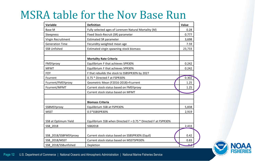#### MSRA table for the Nov Base Run

| Variable               | <b>Definition</b>                                              | Value  |
|------------------------|----------------------------------------------------------------|--------|
| Base M                 | Fully selected ages of Lorenzen Natural Mortality (M)          | 0.28   |
| Steepness              | Fixed Stock-Recruit (SR) parameter                             | 0.777  |
| Virgin Recruitment     | <b>Estimated SR parameter</b>                                  | 3,698  |
| <b>Generation Time</b> | Fecundity-weighted mean age                                    | 7.59   |
| <b>SSB Unfished</b>    | Estimated virgin spawning stock biomass                        | 23,733 |
|                        |                                                                |        |
|                        | <b>Mortality Rate Criteria</b>                                 |        |
| FMSYproxy              | Equilibrium F that achieves SPR30%                             | 0.242  |
| <b>MFMT</b>            | Equilibrium F that achieves SPR30%                             | 0.242  |
| <b>FOY</b>             | F that rebuilds the stock to SSBSPR30% by 2027                 |        |
| Fcurrent               | 0.75 * Directed F at FSPR30%                                   | 0.302  |
| Fcurrent/FMSYproxy     | Geometric Mean (F2016-2018)=Fcurrent                           | 1.25   |
| Fcurrent/MFMT          | Current stock status based on FMSYproxy                        | 1.25   |
|                        | Current stock status based on MFMT                             |        |
|                        |                                                                |        |
|                        | <b>Biomass Criteria</b>                                        |        |
| SSBMSYproxy            | Equilibrium SSB at FSPR30%                                     | 5,838  |
| <b>MSST</b>            | 0.5*SSBSPR30%                                                  | 2,919  |
|                        |                                                                |        |
| SSB at Optimum Yield   | Equilibrium SSB when Directed F = 0.75 * Directed F at FSPR30% |        |
| SSB 2018               | SSB2018                                                        | 2,433  |
|                        |                                                                |        |
| SSB_2018/SSBFMSYproxy  | Current stock status based on SSBSPR30% (Equil)                | 0.42   |
| SSB 2018/MSST          | Current stock status based on MSSTSPR30%                       | 0.83   |
| SSB 2018/SSBunfished   | Depletion                                                      | یدہ    |

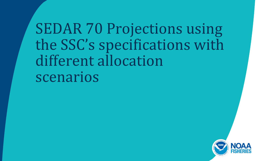SEDAR 70 Projections using the SSC's specifications with different allocation scenarios

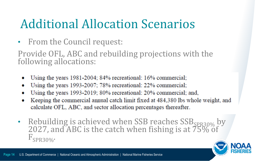# Additional Allocation Scenarios

• From the Council request:

Provide OFL, ABC and rebuilding projections with the following allocations:

- Using the years 1981-2004; 84% recreational: 16% commercial;
- Using the years 1993-2007; 78% recreational: 22% commercial; ٠
- Using the years 1993-2019; 80% recreational: 20% commercial; and,
- Keeping the commercial annual catch limit fixed at 484,380 lbs whole weight, and ٠ calculate OFL, ABC, and sector allocation percentages thereafter.
- Rebuilding is achieved when SSB reaches SSB<sub>SPR30%</sub> by 2027, and ABC is the catch when fishing is at 75% of  $F_{SPR30\%}$

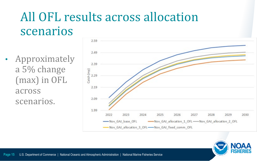# All OFL results across allocation scenarios

**Approximately** a 5% change (max) in OFL across scenarios.